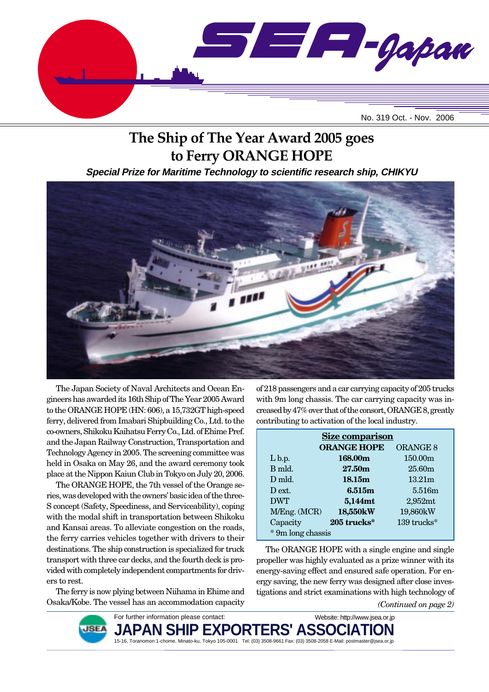

# **The Ship of The Year Award 2005 goes to Ferry ORANGE HOPE**

**Special Prize for Maritime Technology to scientific research ship, CHIKYU**



The Japan Society of Naval Architects and Ocean Engineers has awarded its 16th Ship of The Year 2005 Award to the ORANGE HOPE (HN: 606), a 15,732GT high-speed ferry, delivered from Imabari Shipbuilding Co., Ltd. to the co-owners, Shikoku Kaihatsu Ferry Co., Ltd. of Ehime Pref. and the Japan Railway Construction, Transportation and Technology Agency in 2005. The screening committee was held in Osaka on May 26, and the award ceremony took place at the Nippon Kaiun Club in Tokyo on July 20, 2006.

The ORANGE HOPE, the 7th vessel of the Orange series, was developed with the owners' basic idea of the three-S concept (Safety, Speediness, and Serviceability), coping with the modal shift in transportation between Shikoku and Kansai areas. To alleviate congestion on the roads, the ferry carries vehicles together with drivers to their destinations. The ship construction is specialized for truck transport with three car decks, and the fourth deck is provided with completely independent compartments for drivers to rest.

The ferry is now plying between Niihama in Ehime and Osaka/Kobe. The vessel has an accommodation capacity

of 218 passengers and a car carrying capacity of 205 trucks with 9m long chassis. The car carrying capacity was increased by 47% over that of the consort, ORANGE 8, greatly contributing to activation of the local industry.

| <b>Size comparison</b> |                    |                     |
|------------------------|--------------------|---------------------|
|                        | <b>ORANGE HOPE</b> | <b>ORANGE 8</b>     |
| $L_{\rm b.p.}$         | 168.00m            | 150.00 <sub>m</sub> |
| B mld.                 | 27.50m             | 25.60m              |
| $D$ mld.               | 18.15m             | 13.21 <sub>m</sub>  |
| D ext.                 | 6.515m             | 5.516m              |
| <b>DWT</b>             | 5,144mt            | $2,952$ mt          |
| M/Eng. (MCR)           | 18,550kW           | 19,860kW            |
| Capacity               | 205 trucks*        | 139 trucks*         |
| * 9m long chassis      |                    |                     |

*(Continued on page 2)* The ORANGE HOPE with a single engine and single propeller was highly evaluated as a prize winner with its energy-saving effect and ensured safe operation. For energy saving, the new ferry was designed after close investigations and strict examinations with high technology of

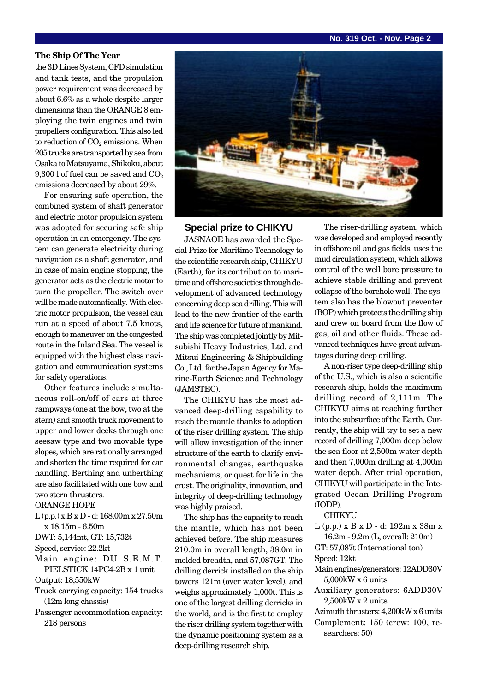### **No. 319 Oct. - Nov. Page 2**

#### **The Ship Of The Year**

the 3D Lines System, CFD simulation and tank tests, and the propulsion power requirement was decreased by about 6.6% as a whole despite larger dimensions than the ORANGE 8 employing the twin engines and twin propellers configuration. This also led to reduction of  $CO<sub>2</sub>$  emissions. When 205 trucks are transported by sea from Osaka to Matsuyama, Shikoku, about 9,300 l of fuel can be saved and  $CO<sub>2</sub>$ emissions decreased by about 29%.

For ensuring safe operation, the combined system of shaft generator and electric motor propulsion system was adopted for securing safe ship operation in an emergency. The system can generate electricity during navigation as a shaft generator, and in case of main engine stopping, the generator acts as the electric motor to turn the propeller. The switch over will be made automatically. With electric motor propulsion, the vessel can run at a speed of about 7.5 knots, enough to maneuver on the congested route in the Inland Sea. The vessel is equipped with the highest class navigation and communication systems for safety operations.

Other features include simultaneous roll-on/off of cars at three rampways (one at the bow, two at the stern) and smooth truck movement to upper and lower decks through one seesaw type and two movable type slopes, which are rationally arranged and shorten the time required for car handling. Berthing and unberthing are also facilitated with one bow and two stern thrusters.

ORANGE HOPE

- L (p.p.) x B x D d: 168.00m x 27.50m x 18.15m - 6.50m
- DWT: 5,144mt, GT: 15,732t

```
Speed, service: 22.2kt
```
Main engine: DU S.E.M.T. PIELSTICK 14PC4-2B x 1 unit

Output: 18,550kW

- Truck carrying capacity: 154 trucks (12m long chassis)
- Passenger accommodation capacity: 218 persons



#### **Special prize to CHIKYU**

JASNAOE has awarded the Special Prize for Maritime Technology to the scientific research ship, CHIKYU (Earth), for its contribution to maritime and offshore societies through development of advanced technology concerning deep sea drilling. This will lead to the new frontier of the earth and life science for future of mankind. The ship was completed jointly by Mitsubishi Heavy Industries, Ltd. and Mitsui Engineering & Shipbuilding Co., Ltd. for the Japan Agency for Marine-Earth Science and Technology (JAMSTEC).

The CHIKYU has the most advanced deep-drilling capability to reach the mantle thanks to adoption of the riser drilling system. The ship will allow investigation of the inner structure of the earth to clarify environmental changes, earthquake mechanisms, or quest for life in the crust. The originality, innovation, and integrity of deep-drilling technology was highly praised.

The ship has the capacity to reach the mantle, which has not been achieved before. The ship measures 210.0m in overall length, 38.0m in molded breadth, and 57,087GT. The drilling derrick installed on the ship towers 121m (over water level), and weighs approximately 1,000t. This is one of the largest drilling derricks in the world, and is the first to employ the riser drilling system together with the dynamic positioning system as a deep-drilling research ship.

The riser-drilling system, which was developed and employed recently in offshore oil and gas fields, uses the mud circulation system, which allows control of the well bore pressure to achieve stable drilling and prevent collapse of the borehole wall. The system also has the blowout preventer (BOP) which protects the drilling ship and crew on board from the flow of gas, oil and other fluids. These advanced techniques have great advantages during deep drilling.

A non-riser type deep-drilling ship of the U.S., which is also a scientific research ship, holds the maximum drilling record of 2,111m. The CHIKYU aims at reaching further into the subsurface of the Earth. Currently, the ship will try to set a new record of drilling 7,000m deep below the sea floor at 2,500m water depth and then 7,000m drilling at 4,000m water depth. After trial operation, CHIKYU will participate in the Integrated Ocean Drilling Program (IODP).

CHIKYU

- L (p.p.) x B x D d: 192m x 38m x 16.2m - 9.2m (L, overall: 210m)
- GT: 57,087t (International ton) Speed: 12kt
- Main engines/generators: 12ADD30V 5,000kW x 6 units
- Auxiliary generators: 6ADD30V 2,500kW x 2 units
- Azimuth thrusters: 4,200kW x 6 units Complement: 150 (crew: 100, re
	- searchers: 50)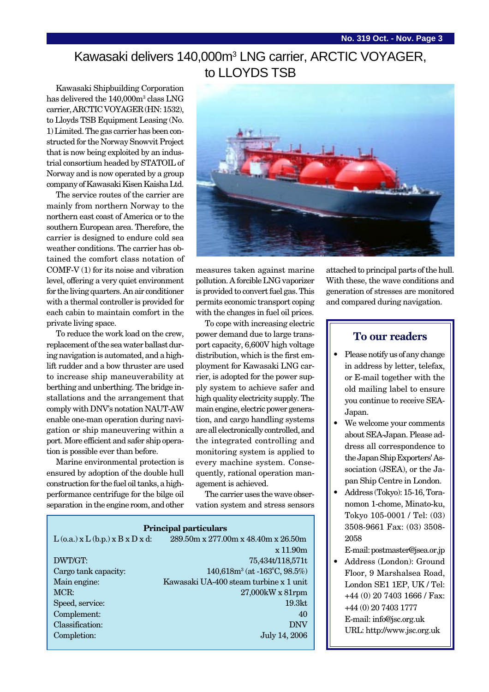## Kawasaki delivers 140,000m<sup>3</sup> LNG carrier, ARCTIC VOYAGER, to LLOYDS TSB

Kawasaki Shipbuilding Corporation has delivered the 140,000m<sup>3</sup> class LNG carrier, ARCTIC VOYAGER (HN: 1532), to Lloyds TSB Equipment Leasing (No. 1) Limited. The gas carrier has been constructed for the Norway Snowvit Project that is now being exploited by an industrial consortium headed by STATOIL of Norway and is now operated by a group company of Kawasaki Kisen Kaisha Ltd.

The service routes of the carrier are mainly from northern Norway to the northern east coast of America or to the southern European area. Therefore, the carrier is designed to endure cold sea weather conditions. The carrier has obtained the comfort class notation of COMF-V (1) for its noise and vibration level, offering a very quiet environment for the living quarters. An air conditioner with a thermal controller is provided for each cabin to maintain comfort in the private living space.

To reduce the work load on the crew, replacement of the sea water ballast during navigation is automated, and a highlift rudder and a bow thruster are used to increase ship maneuverability at berthing and unberthing. The bridge installations and the arrangement that comply with DNV's notation NAUT-AW enable one-man operation during navigation or ship maneuvering within a port. More efficient and safer ship operation is possible ever than before.

Marine environmental protection is ensured by adoption of the double hull construction for the fuel oil tanks, a highperformance centrifuge for the bilge oil separation in the engine room, and other



measures taken against marine pollution. A forcible LNG vaporizer is provided to convert fuel gas. This permits economic transport coping with the changes in fuel oil prices.

To cope with increasing electric power demand due to large transport capacity, 6,600V high voltage distribution, which is the first employment for Kawasaki LNG carrier, is adopted for the power supply system to achieve safer and high quality electricity supply. The main engine, electric power generation, and cargo handling systems are all electronically controlled, and the integrated controlling and monitoring system is applied to every machine system. Consequently, rational operation management is achieved.

The carrier uses the wave observation system and stress sensors

| <b>Principal particulars</b>             |                                                      |  |
|------------------------------------------|------------------------------------------------------|--|
| $L$ (o.a.) x $L$ (b.p.) x $B$ x $D$ x d: | $289.50m \times 277.00m \times 48.40m \times 26.50m$ |  |
|                                          | x 11.90m                                             |  |
| DWT/GT:                                  | 75,434t/118,571t                                     |  |
| Cargo tank capacity:                     | $140,618m^3$ (at $-163^{\circ}$ C, 98.5%)            |  |
| Main engine:                             | Kawasaki UA-400 steam turbine x 1 unit               |  |
| MCR:                                     | $27,000$ kW x $81$ rpm                               |  |
| Speed, service:                          | 19.3 <sub>kt</sub>                                   |  |
| Complement:                              | 40                                                   |  |
| Classification:                          | <b>DNV</b>                                           |  |
| Completion:                              | July 14, 2006                                        |  |

attached to principal parts of the hull. With these, the wave conditions and generation of stresses are monitored and compared during navigation.

## **To our readers**

- Please notify us of any change in address by letter, telefax, or E-mail together with the old mailing label to ensure you continue to receive SEA-Japan.
- We welcome your comments about SEA-Japan. Please address all correspondence to the Japan Ship Exporters' Association (JSEA), or the Japan Ship Centre in London.
- Address (Tokyo): 15-16, Toranomon 1-chome, Minato-ku, Tokyo 105-0001 / Tel: (03) 3508-9661 Fax: (03) 3508- 2058

E-mail: postmaster@jsea.or.jp

• Address (London): Ground Floor, 9 Marshalsea Road, London SE1 1EP, UK / Tel: +44 (0) 20 7403 1666 / Fax: +44 (0) 20 7403 1777 E-mail: info@jsc.org.uk URL: http://www.jsc.org.uk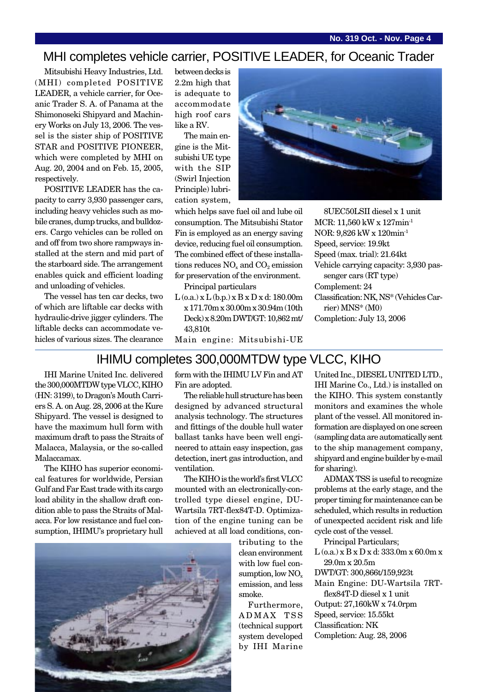## MHI completes vehicle carrier, POSITIVE LEADER, for Oceanic Trader

Mitsubishi Heavy Industries, Ltd. (MHI) completed POSITIVE LEADER, a vehicle carrier, for Oceanic Trader S. A. of Panama at the Shimonoseki Shipyard and Machinery Works on July 13, 2006. The vessel is the sister ship of POSITIVE STAR and POSITIVE PIONEER, which were completed by MHI on Aug. 20, 2004 and on Feb. 15, 2005, respectively.

POSITIVE LEADER has the capacity to carry 3,930 passenger cars, including heavy vehicles such as mobile cranes, dump trucks, and bulldozers. Cargo vehicles can be rolled on and off from two shore rampways installed at the stern and mid part of the starboard side. The arrangement enables quick and efficient loading and unloading of vehicles.

The vessel has ten car decks, two of which are liftable car decks with hydraulic-drive jigger cylinders. The liftable decks can accommodate vehicles of various sizes. The clearance between decks is 2.2m high that is adequate to accommodate high roof cars like a RV.

The main engine is the Mitsubishi UE type with the SIP (Swirl Injection Principle) lubrication system,



which helps save fuel oil and lube oil consumption. The Mitsubishi Stator Fin is employed as an energy saving device, reducing fuel oil consumption. The combined effect of these installations reduces  $NO<sub>x</sub>$  and  $CO<sub>2</sub>$  emission for preservation of the environment.

Principal particulars

 $L$  (o.a.) x  $L$  (b.p.) x  $B$  x  $D$  x d: 180.00m x 171.70m x 30.00m x 30.94m (10th Deck) x 8.20m DWT/GT: 10,862 mt/ 43,810t

8UEC50LSII diesel x 1 unit MCR: 11,560 kW x 127min-1 NOR: 9,826 kW x 120min-1 Speed, service: 19.9kt Speed (max. trial): 21.64kt Vehicle carrying capacity: 3,930 passenger cars (RT type) Complement: 24 Classification: NK, NS\* (Vehicles Carrier) MNS\* (M0) Completion: July 13, 2006

Main engine: Mitsubishi-UE

## IHIMU completes 300,000MTDW type VLCC, KIHO

IHI Marine United Inc. delivered the 300,000MTDW type VLCC, KIHO (HN: 3199), to Dragon's Mouth Carriers S. A. on Aug. 28, 2006 at the Kure Shipyard. The vessel is designed to have the maximum hull form with maximum draft to pass the Straits of Malacca, Malaysia, or the so-called Malaccamax.

The KIHO has superior economical features for worldwide, Persian Gulf and Far East trade with its cargo load ability in the shallow draft condition able to pass the Straits of Malacca. For low resistance and fuel consumption, IHIMU's proprietary hull form with the IHIMU LV Fin and AT Fin are adopted.

The reliable hull structure has been designed by advanced structural analysis technology. The structures and fittings of the double hull water ballast tanks have been well engineered to attain easy inspection, gas detection, inert gas introduction, and ventilation.

The KIHO is the world's first VLCC mounted with an electronically-controlled type diesel engine, DU-Wartsila 7RT-flex84T-D. Optimization of the engine tuning can be achieved at all load conditions, con-

> tributing to the clean environment with low fuel consumption, low  $NO<sub>x</sub>$ emission, and less smoke.

Furthermore, ADMAX TSS (technical support system developed by IHI Marine United Inc., DIESEL UNITED LTD., IHI Marine Co., Ltd.) is installed on the KIHO. This system constantly monitors and examines the whole plant of the vessel. All monitored information are displayed on one screen (sampling data are automatically sent to the ship management company, shipyard and engine builder by e-mail for sharing).

ADMAX TSS is useful to recognize problems at the early stage, and the proper timing for maintenance can be scheduled, which results in reduction of unexpected accident risk and life cycle cost of the vessel.

Principal Particulars;

 $L$  (o.a.) x  $B$  x  $D$  x d: 333.0m x 60.0m x 29.0m x 20.5m

DWT/GT: 300,866t/159,923t

Main Engine: DU-Wartsila 7RTflex84T-D diesel x 1 unit

Output: 27,160kW x 74.0rpm Speed, service: 15.55kt Classification: NK Completion: Aug. 28, 2006

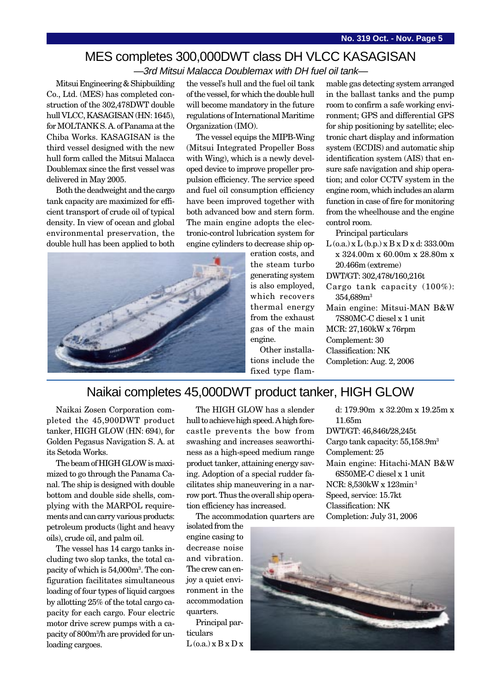# MES completes 300,000DWT class DH VLCC KASAGISAN

—3rd Mitsui Malacca Doublemax with DH fuel oil tank—

Mitsui Engineering & Shipbuilding Co., Ltd. (MES) has completed construction of the 302,478DWT double hull VLCC, KASAGISAN (HN: 1645), for MOLTANK S. A. of Panama at the Chiba Works. KASAGISAN is the third vessel designed with the new hull form called the Mitsui Malacca Doublemax since the first vessel was delivered in May 2005.

Both the deadweight and the cargo tank capacity are maximized for efficient transport of crude oil of typical density. In view of ocean and global environmental preservation, the double hull has been applied to both

the vessel's hull and the fuel oil tank of the vessel, for which the double hull will become mandatory in the future regulations of International Maritime Organization (IMO).

The vessel equips the MIPB-Wing (Mitsui Integrated Propeller Boss with Wing), which is a newly developed device to improve propeller propulsion efficiency. The service speed and fuel oil consumption efficiency have been improved together with both advanced bow and stern form. The main engine adopts the electronic-control lubrication system for engine cylinders to decrease ship op-



eration costs, and the steam turbo generating system is also employed, which recovers thermal energy from the exhaust gas of the main engine. Other installa-

tions include the fixed type flammable gas detecting system arranged in the ballast tanks and the pump room to confirm a safe working environment; GPS and differential GPS for ship positioning by satellite; electronic chart display and information system (ECDIS) and automatic ship identification system (AIS) that ensure safe navigation and ship operation; and color CCTV system in the engine room, which includes an alarm function in case of fire for monitoring from the wheelhouse and the engine control room.

Principal particulars

- $L$  (o.a.) x  $L$  (b.p.) x  $B$  x  $D$  x d: 333.00m x 324.00m x 60.00m x 28.80m x 20.466m (extreme)
- DWT/GT: 302,478t/160,216t
- Cargo tank capacity (100%): 354,689m3
- Main engine: Mitsui-MAN B&W 7S80MC-C diesel x 1 unit MCR: 27,160kW x 76rpm

Complement: 30 Classification: NK

Completion: Aug. 2, 2006

## Naikai completes 45,000DWT product tanker, HIGH GLOW

Naikai Zosen Corporation completed the 45,900DWT product tanker, HIGH GLOW (HN: 694), for Golden Pegasus Navigation S. A. at its Setoda Works.

The beam of HIGH GLOW is maximized to go through the Panama Canal. The ship is designed with double bottom and double side shells, complying with the MARPOL requirements and can carry various products: petroleum products (light and heavy oils), crude oil, and palm oil.

The vessel has 14 cargo tanks including two slop tanks, the total capacity of which is 54,000m3 . The configuration facilitates simultaneous loading of four types of liquid cargoes by allotting 25% of the total cargo capacity for each cargo. Four electric motor drive screw pumps with a capacity of 800m3 /h are provided for unloading cargoes.

The HIGH GLOW has a slender hull to achieve high speed. A high forecastle prevents the bow from swashing and increases seaworthiness as a high-speed medium range product tanker, attaining energy saving. Adoption of a special rudder facilitates ship maneuvering in a narrow port. Thus the overall ship operation efficiency has increased.

The accommodation quarters are

isolated from the engine casing to decrease noise and vibration. The crew can enjoy a quiet environment in the accommodation quarters.

Principal particulars  $L$  (o.a.)  $x B x D x$ 

d: 179.90m x 32.20m x 19.25m x 11.65m DWT/GT: 46,846t/28,245t Cargo tank capacity: 55,158.9m3 Complement: 25 Main engine: Hitachi-MAN B&W 6S50ME-C diesel x 1 unit NCR: 8,530kW x 123min-1 Speed, service: 15.7kt Classification: NK Completion: July 31, 2006